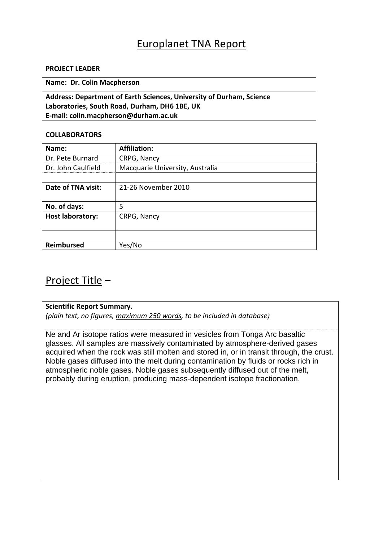# Europlanet TNA Report

#### **PROJECT LEADER**

**Name: Dr. Colin Macpherson**

**Address: Department of Earth Sciences, University of Durham, Science Laboratories, South Road, Durham, DH6 1BE, UK E‐mail: colin.macpherson@durham.ac.uk**

#### **COLLABORATORS**

| Name:                   | <b>Affiliation:</b>             |
|-------------------------|---------------------------------|
| Dr. Pete Burnard        | CRPG, Nancy                     |
| Dr. John Caulfield      | Macquarie University, Australia |
|                         |                                 |
| Date of TNA visit:      | 21-26 November 2010             |
|                         |                                 |
| No. of days:            | 5                               |
| <b>Host laboratory:</b> | CRPG, Nancy                     |
|                         |                                 |
|                         |                                 |
| <b>Reimbursed</b>       | Yes/No                          |

## Project Title –

## **Scientific Report Summary.**

*(plain text, no figures, maximum 250 words, to be included in database)*

Ne and Ar isotope ratios were measured in vesicles from Tonga Arc basaltic glasses. All samples are massively contaminated by atmosphere-derived gases acquired when the rock was still molten and stored in, or in transit through, the crust. Noble gases diffused into the melt during contamination by fluids or rocks rich in atmospheric noble gases. Noble gases subsequently diffused out of the melt, probably during eruption, producing mass-dependent isotope fractionation.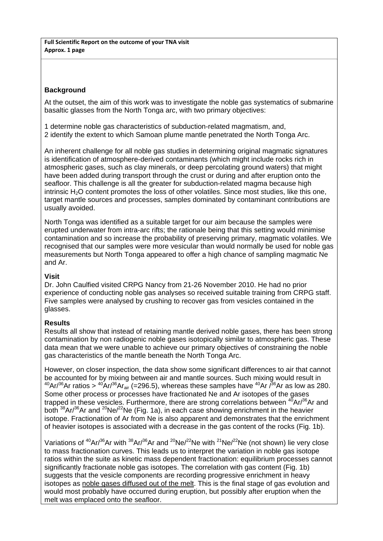**Full Scientific Report on the outcome of your TNA visit Approx. 1 page**

## **Background**

At the outset, the aim of this work was to investigate the noble gas systematics of submarine basaltic glasses from the North Tonga arc, with two primary objectives:

1 determine noble gas characteristics of subduction-related magmatism, and, 2 identify the extent to which Samoan plume mantle penetrated the North Tonga Arc.

An inherent challenge for all noble gas studies in determining original magmatic signatures is identification of atmosphere-derived contaminants (which might include rocks rich in atmospheric gases, such as clay minerals, or deep percolating ground waters) that might have been added during transport through the crust or during and after eruption onto the seafloor. This challenge is all the greater for subduction-related magma because high intrinsic H<sub>2</sub>O content promotes the loss of other volatiles. Since most studies, like this one, target mantle sources and processes, samples dominated by contaminant contributions are usually avoided.

North Tonga was identified as a suitable target for our aim because the samples were erupted underwater from intra-arc rifts; the rationale being that this setting would minimise contamination and so increase the probability of preserving primary, magmatic volatiles. We recognised that our samples were more vesicular than would normally be used for noble gas measurements but North Tonga appeared to offer a high chance of sampling magmatic Ne and Ar.

## **Visit**

Dr. John Caulfied visited CRPG Nancy from 21-26 November 2010. He had no prior experience of conducting noble gas analyses so received suitable training from CRPG staff. Five samples were analysed by crushing to recover gas from vesicles contained in the glasses.

## **Results**

Results all show that instead of retaining mantle derived noble gases, there has been strong contamination by non radiogenic noble gases isotopically similar to atmospheric gas. These data mean that we were unable to achieve our primary objectives of constraining the noble gas characteristics of the mantle beneath the North Tonga Arc.

However, on closer inspection, the data show some significant differences to air that cannot be accounted for by mixing between air and mantle sources. Such mixing would result in  $^{40}$ Ar/<sup>36</sup>Ar ratios >  $^{40}$ Ar/<sup>36</sup>Ar<sub>air</sub> (=296.5), whereas these samples have  $^{40}$ Ar  $\frac{36}{10}$ Ar as low as 280. Some other process or processes have fractionated Ne and Ar isotopes of the gases trapped in these vesicles. Furthermore, there are strong correlations between  $^{40}Ar^{36}Ar$  and both  $38Ar^{36}$ Ar and  $20Ne^{22}$ Ne (Fig. 1a), in each case showing enrichment in the heavier isotope. Fractionation of Ar from Ne is also apparent and demonstrates that the enrichment of heavier isotopes is associated with a decrease in the gas content of the rocks (Fig. 1b).

Variations of  ${}^{40}$ Ar $/{}^{36}$ Ar with  ${}^{38}$ Ar $/{}^{36}$ Ar and  ${}^{20}$ Ne $/{}^{22}$ Ne  $W^{21}$ Ne $/{}^{22}$ Ne (not shown) lie very close to mass fractionation curves. This leads us to interpret the variation in noble gas isotope ratios within the suite as kinetic mass dependent fractionation: equilibrium processes cannot significantly fractionate noble gas isotopes. The correlation with gas content (Fig. 1b) suggests that the vesicle components are recording progressive enrichment in heavy isotopes as noble gases diffused out of the melt. This is the final stage of gas evolution and would most probably have occurred during eruption, but possibly after eruption when the melt was emplaced onto the seafloor.